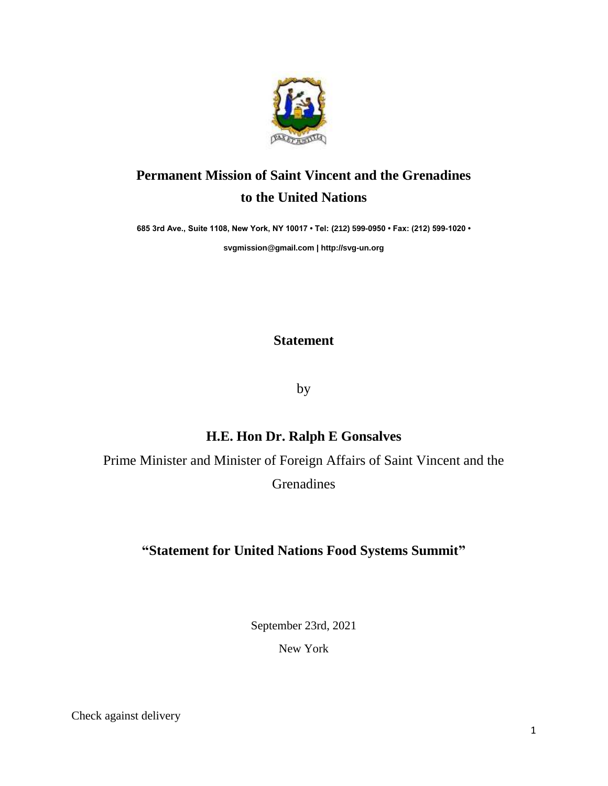

## **Permanent Mission of Saint Vincent and the Grenadines to the United Nations**

**685 3rd Ave., Suite 1108, New York, NY 10017 • Tel: (212) 599-0950 • Fax: (212) 599-1020 •** 

**[svgmission@gmail.com](mailto:svgmission@gmail.com) [| http://svg-un.org](http://svg-un.org/)**

**Statement**

by

## **H.E. Hon Dr. Ralph E Gonsalves**

Prime Minister and Minister of Foreign Affairs of Saint Vincent and the

Grenadines

## **"Statement for United Nations Food Systems Summit"**

September 23rd, 2021

New York

Check against delivery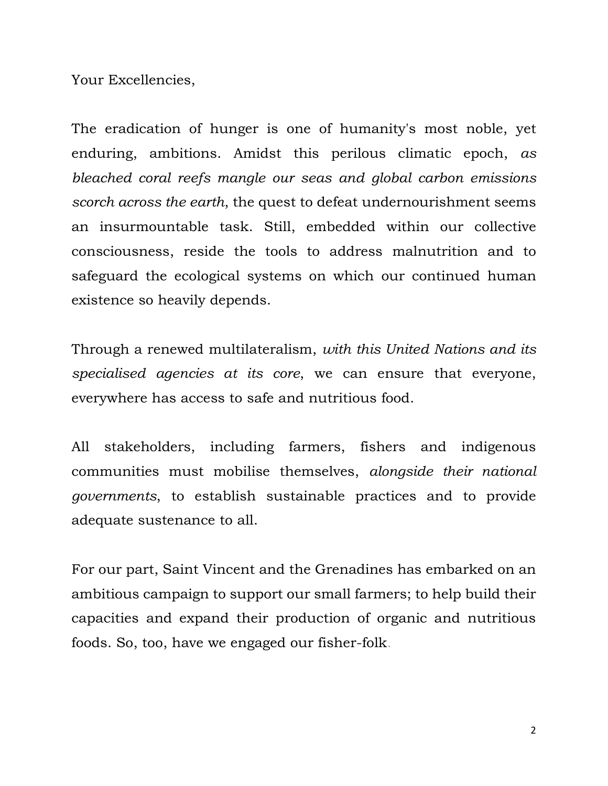Your Excellencies,

The eradication of hunger is one of humanity's most noble, yet enduring, ambitions. Amidst this perilous climatic epoch, *as bleached coral reefs mangle our seas and global carbon emissions scorch across the earth*, the quest to defeat undernourishment seems an insurmountable task. Still, embedded within our collective consciousness, reside the tools to address malnutrition and to safeguard the ecological systems on which our continued human existence so heavily depends.

Through a renewed multilateralism, *with this United Nations and its specialised agencies at its core*, we can ensure that everyone, everywhere has access to safe and nutritious food.

All stakeholders, including farmers, fishers and indigenous communities must mobilise themselves, *alongside their national governments*, to establish sustainable practices and to provide adequate sustenance to all.

For our part, Saint Vincent and the Grenadines has embarked on an ambitious campaign to support our small farmers; to help build their capacities and expand their production of organic and nutritious foods. So, too, have we engaged our fisher-folk.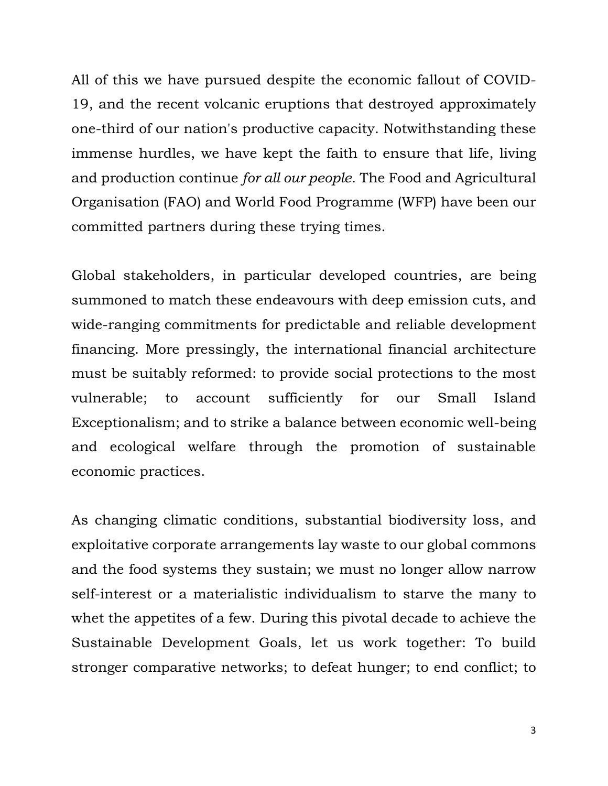All of this we have pursued despite the economic fallout of COVID-19, and the recent volcanic eruptions that destroyed approximately one-third of our nation's productive capacity. Notwithstanding these immense hurdles, we have kept the faith to ensure that life, living and production continue *for all our people*. The Food and Agricultural Organisation (FAO) and World Food Programme (WFP) have been our committed partners during these trying times.

Global stakeholders, in particular developed countries, are being summoned to match these endeavours with deep emission cuts, and wide-ranging commitments for predictable and reliable development financing. More pressingly, the international financial architecture must be suitably reformed: to provide social protections to the most vulnerable; to account sufficiently for our Small Island Exceptionalism; and to strike a balance between economic well-being and ecological welfare through the promotion of sustainable economic practices.

As changing climatic conditions, substantial biodiversity loss, and exploitative corporate arrangements lay waste to our global commons and the food systems they sustain; we must no longer allow narrow self-interest or a materialistic individualism to starve the many to whet the appetites of a few. During this pivotal decade to achieve the Sustainable Development Goals, let us work together: To build stronger comparative networks; to defeat hunger; to end conflict; to